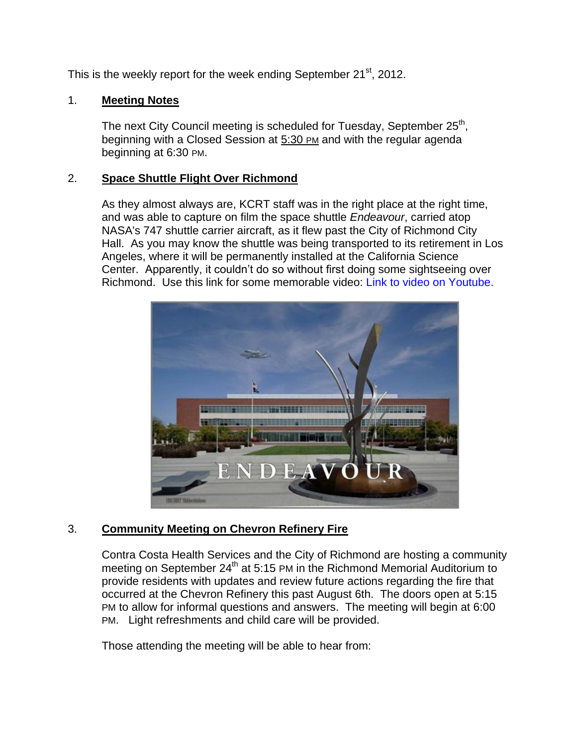This is the weekly report for the week ending September 21<sup>st</sup>, 2012.

## 1. **Meeting Notes**

The next City Council meeting is scheduled for Tuesday, September 25<sup>th</sup>, beginning with a Closed Session at 5:30 PM and with the regular agenda beginning at 6:30 PM.

## 2. **Space Shuttle Flight Over Richmond**

As they almost always are, KCRT staff was in the right place at the right time, and was able to capture on film the space shuttle *Endeavour*, carried atop NASA's 747 shuttle carrier aircraft, as it flew past the City of Richmond City Hall. As you may know the shuttle was being transported to its retirement in Los Angeles, where it will be permanently installed at the California Science Center. Apparently, it couldn't do so without first doing some sightseeing over Richmond. Use this link for some memorable video: [Link to video on Youtube.](http://youtu.be/SA1q6kNR5Is)



# 3. **Community Meeting on Chevron Refinery Fire**

Contra Costa Health Services and the City of Richmond are hosting a community meeting on September 24<sup>th</sup> at 5:15 PM in the Richmond Memorial Auditorium to provide residents with updates and review future actions regarding the fire that occurred at the Chevron Refinery this past August 6th. The doors open at 5:15 PM to allow for informal questions and answers. The meeting will begin at 6:00 PM. Light refreshments and child care will be provided.

Those attending the meeting will be able to hear from: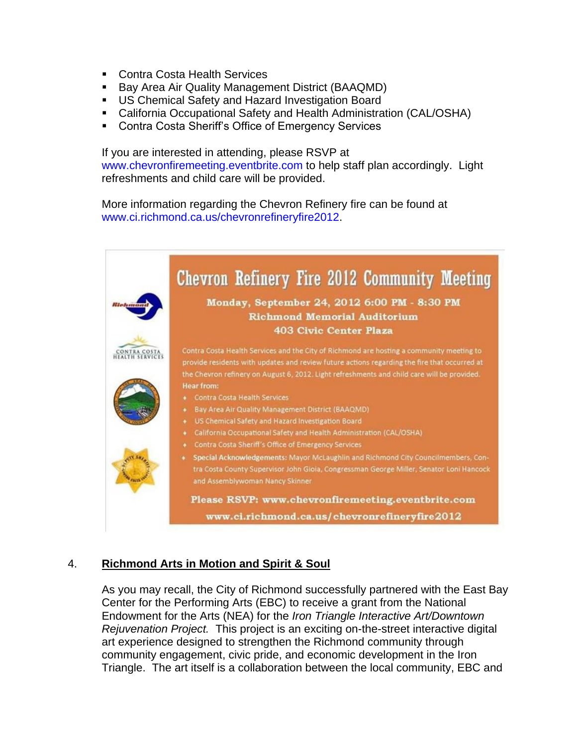- **Contra Costa Health Services**
- **Bay Area Air Quality Management District (BAAQMD)**
- US Chemical Safety and Hazard Investigation Board
- California Occupational Safety and Health Administration (CAL/OSHA)
- **EXECONTE Costa Sheriff's Office of Emergency Services**

If you are interested in attending, please RSVP at [www.chevronfiremeeting.eventbrite.com](http://www.chevronfiremeeting.eventbrite.com/) to help staff plan accordingly. Light refreshments and child care will be provided.

More information regarding the Chevron Refinery fire can be found at [www.ci.richmond.ca.us/chevronrefineryfire2012.](http://www.ci.richmond.ca.us/chevronrefineryfire2012)

|         | Chevron Refinery Fire 2012 Community Meeting                                                                                                                                                                         |
|---------|----------------------------------------------------------------------------------------------------------------------------------------------------------------------------------------------------------------------|
| Hickory | Monday, September 24, 2012 6:00 PM - 8:30 PM<br><b>Richmond Memorial Auditorium</b>                                                                                                                                  |
|         | <b>403 Civic Center Plaza</b>                                                                                                                                                                                        |
|         | Contra Costa Health Services and the City of Richmond are hosting a community meeting to<br>provide residents with updates and review future actions regarding the fire that occurred at                             |
|         | the Chevron refinery on August 6, 2012. Light refreshments and child care will be provided.<br><b>Hear from:</b>                                                                                                     |
|         | <b>Contra Costa Health Services</b><br>$\bullet$                                                                                                                                                                     |
|         | <b>Bay Area Air Quality Management District (BAAQMD)</b>                                                                                                                                                             |
|         | US Chemical Safety and Hazard Investigation Board<br>۰<br>California Occupational Safety and Health Administration (CAL/OSHA)<br>۰                                                                                   |
|         | Contra Costa Sheriff's Office of Emergency Services<br>۰                                                                                                                                                             |
|         | Special Acknowledgements: Mayor McLaughlin and Richmond City Councilmembers, Con-<br>٠<br>tra Costa County Supervisor John Gioia, Congressman George Miller, Senator Loni Hancock<br>and Assemblywoman Nancy Skinner |
|         | Please RSVP: www.chevronfiremeeting.eventbrite.com                                                                                                                                                                   |
|         | www.ci.richmond.ca.us/chevronrefineryfire2012                                                                                                                                                                        |

# 4. **Richmond Arts in Motion and Spirit & Soul**

As you may recall, the City of Richmond successfully partnered with the East Bay Center for the Performing Arts (EBC) to receive a grant from the National Endowment for the Arts (NEA) for the *Iron Triangle Interactive Art/Downtown Rejuvenation Project.* This project is an exciting on-the-street interactive digital art experience designed to strengthen the Richmond community through community engagement, civic pride, and economic development in the Iron Triangle. The art itself is a collaboration between the local community, EBC and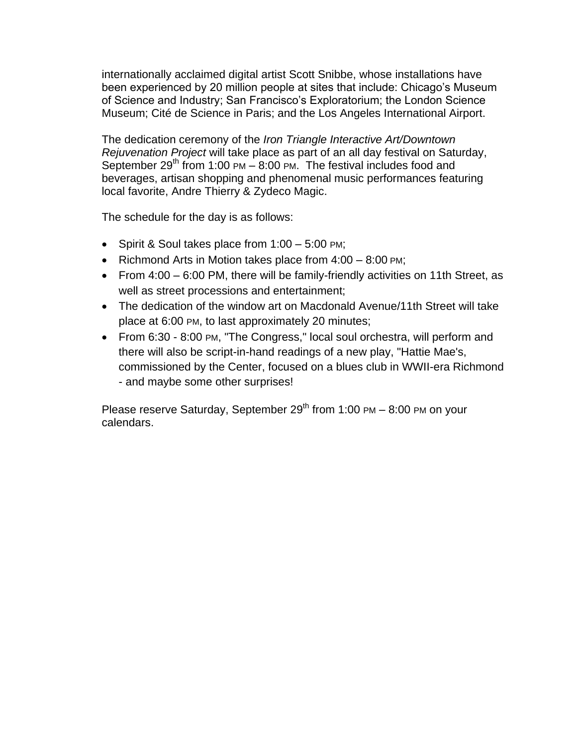internationally acclaimed digital artist Scott Snibbe, whose installations have been experienced by 20 million people at sites that include: Chicago's Museum of Science and Industry; San Francisco's Exploratorium; the London Science Museum; Cité de Science in Paris; and the Los Angeles International Airport.

The dedication ceremony of the *Iron Triangle Interactive Art/Downtown Rejuvenation Project* will take place as part of an all day festival on Saturday, September  $29<sup>th</sup>$  from 1:00 PM – 8:00 PM. The festival includes food and beverages, artisan shopping and phenomenal music performances featuring local favorite, Andre Thierry & Zydeco Magic.

The schedule for the day is as follows:

- Spirit & Soul takes place from  $1:00 5:00$  PM;
- Example Richmond Arts in Motion takes place from  $4:00 8:00$  PM;
- From  $4:00 6:00$  PM, there will be family-friendly activities on 11th Street, as well as street processions and entertainment;
- The dedication of the window art on Macdonald Avenue/11th Street will take place at 6:00 PM, to last approximately 20 minutes;
- From 6:30 8:00 PM, "The Congress," local soul orchestra, will perform and there will also be script-in-hand readings of a new play, "Hattie Mae's, commissioned by the Center, focused on a blues club in WWII-era Richmond - and maybe some other surprises!

Please reserve Saturday, September  $29<sup>th</sup>$  from 1:00 PM – 8:00 PM on your calendars.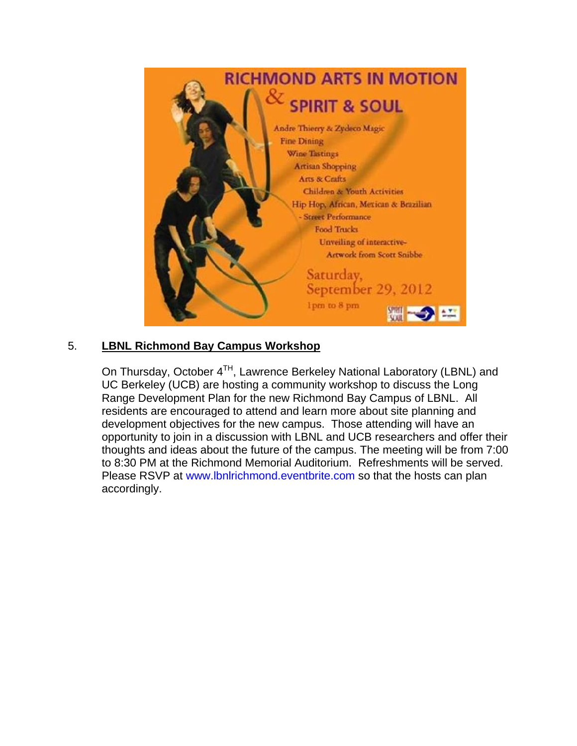

# 5. **LBNL Richmond Bay Campus Workshop**

On Thursday, October  $4^{TH}$ , Lawrence Berkeley National Laboratory (LBNL) and UC Berkeley (UCB) are hosting a community workshop to discuss the Long Range Development Plan for the new Richmond Bay Campus of LBNL. All residents are encouraged to attend and learn more about site planning and development objectives for the new campus. Those attending will have an opportunity to join in a discussion with LBNL and UCB researchers and offer their thoughts and ideas about the future of the campus. The meeting will be from 7:00 to 8:30 PM at the Richmond Memorial Auditorium. Refreshments will be served. Please RSVP at [www.lbnlrichmond.eventbrite.com](http://www.lbnlrichmond.eventbrite.com/) so that the hosts can plan accordingly.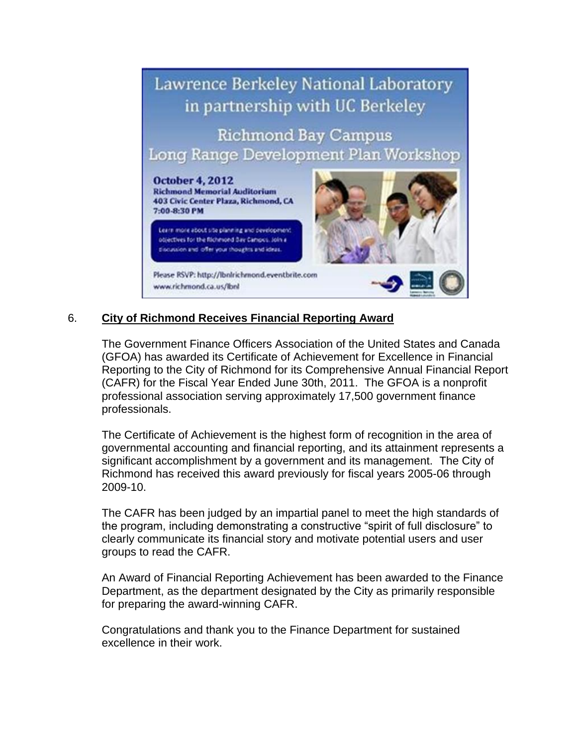

# 6. **City of Richmond Receives Financial Reporting Award**

The Government Finance Officers Association of the United States and Canada (GFOA) has awarded its Certificate of Achievement for Excellence in Financial Reporting to the City of Richmond for its Comprehensive Annual Financial Report (CAFR) for the Fiscal Year Ended June 30th, 2011. The GFOA is a nonprofit professional association serving approximately 17,500 government finance professionals.

The Certificate of Achievement is the highest form of recognition in the area of governmental accounting and financial reporting, and its attainment represents a significant accomplishment by a government and its management. The City of Richmond has received this award previously for fiscal years 2005-06 through 2009-10.

The CAFR has been judged by an impartial panel to meet the high standards of the program, including demonstrating a constructive "spirit of full disclosure" to clearly communicate its financial story and motivate potential users and user groups to read the CAFR.

An Award of Financial Reporting Achievement has been awarded to the Finance Department, as the department designated by the City as primarily responsible for preparing the award-winning CAFR.

Congratulations and thank you to the Finance Department for sustained excellence in their work.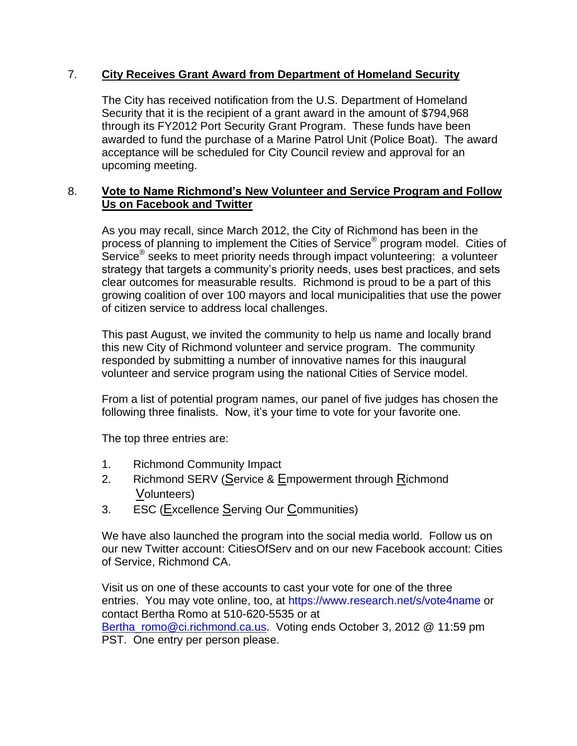## 7. **City Receives Grant Award from Department of Homeland Security**

The City has received notification from the U.S. Department of Homeland Security that it is the recipient of a grant award in the amount of \$794,968 through its FY2012 Port Security Grant Program. These funds have been awarded to fund the purchase of a Marine Patrol Unit (Police Boat). The award acceptance will be scheduled for City Council review and approval for an upcoming meeting.

## 8. **Vote to Name Richmond's New Volunteer and Service Program and Follow Us on Facebook and Twitter**

As you may recall, since March 2012, the City of Richmond has been in the process of planning to implement the Cities of Service<sup>®</sup> program model. Cities of Service® seeks to meet priority needs through impact volunteering: a volunteer strategy that targets a community's priority needs, uses best practices, and sets clear outcomes for measurable results. Richmond is proud to be a part of this growing coalition of over 100 mayors and local municipalities that use the power of citizen service to address local challenges.

This past August, we invited the community to help us name and locally brand this new City of Richmond volunteer and service program. The community responded by submitting a number of innovative names for this inaugural volunteer and service program using the national Cities of Service model.

From a list of potential program names, our panel of five judges has chosen the following three finalists. Now, it's your time to vote for your favorite one.

The top three entries are:

- 1. Richmond Community Impact
- 2. Richmond SERV (Service & Empowerment through Richmond Volunteers)
- 3. ESC (Excellence Serving Our Communities)

We have also launched the program into the social media world. Follow us on our new Twitter account: CitiesOfServ and on our new Facebook account: Cities of Service, Richmond CA.

Visit us on one of these accounts to cast your vote for one of the three entries. You may vote online, too, at<https://www.research.net/s/vote4name> or contact Bertha Romo at 510-620-5535 or at [Bertha\\_romo@ci.richmond.ca.us.](mailto:Bertha_romo@ci.richmond.ca.us) Voting ends October 3, 2012 @ 11:59 pm PST. One entry per person please.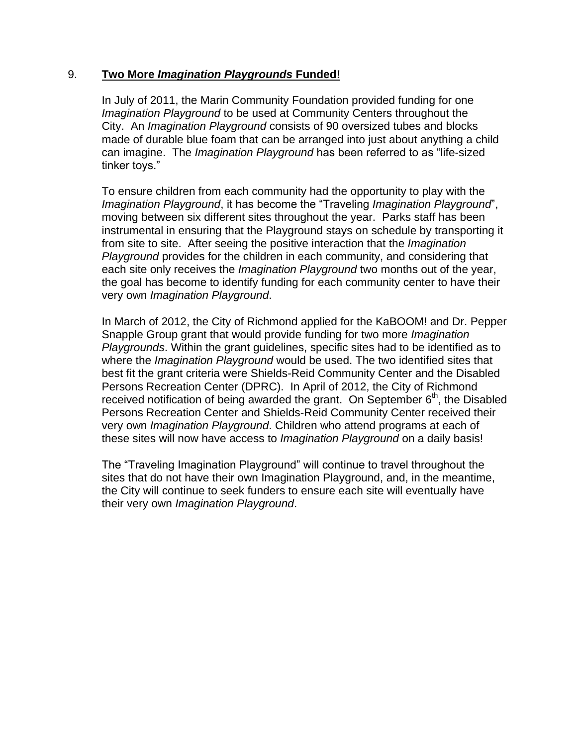#### 9. **Two More** *Imagination Playgrounds* **Funded!**

In July of 2011, the Marin Community Foundation provided funding for one *Imagination Playground* to be used at Community Centers throughout the City. An *Imagination Playground* consists of 90 oversized tubes and blocks made of durable blue foam that can be arranged into just about anything a child can imagine. The *Imagination Playground* has been referred to as "life-sized tinker toys."

To ensure children from each community had the opportunity to play with the *Imagination Playground*, it has become the "Traveling *Imagination Playground*", moving between six different sites throughout the year. Parks staff has been instrumental in ensuring that the Playground stays on schedule by transporting it from site to site. After seeing the positive interaction that the *Imagination Playground* provides for the children in each community, and considering that each site only receives the *Imagination Playground* two months out of the year, the goal has become to identify funding for each community center to have their very own *Imagination Playground*.

In March of 2012, the City of Richmond applied for the KaBOOM! and Dr. Pepper Snapple Group grant that would provide funding for two more *Imagination Playgrounds*. Within the grant guidelines, specific sites had to be identified as to where the *Imagination Playground* would be used. The two identified sites that best fit the grant criteria were Shields-Reid Community Center and the Disabled Persons Recreation Center (DPRC). In April of 2012, the City of Richmond received notification of being awarded the grant. On September  $6<sup>th</sup>$ , the Disabled Persons Recreation Center and Shields-Reid Community Center received their very own *Imagination Playground*. Children who attend programs at each of these sites will now have access to *Imagination Playground* on a daily basis!

The "Traveling Imagination Playground" will continue to travel throughout the sites that do not have their own Imagination Playground, and, in the meantime, the City will continue to seek funders to ensure each site will eventually have their very own *Imagination Playground*.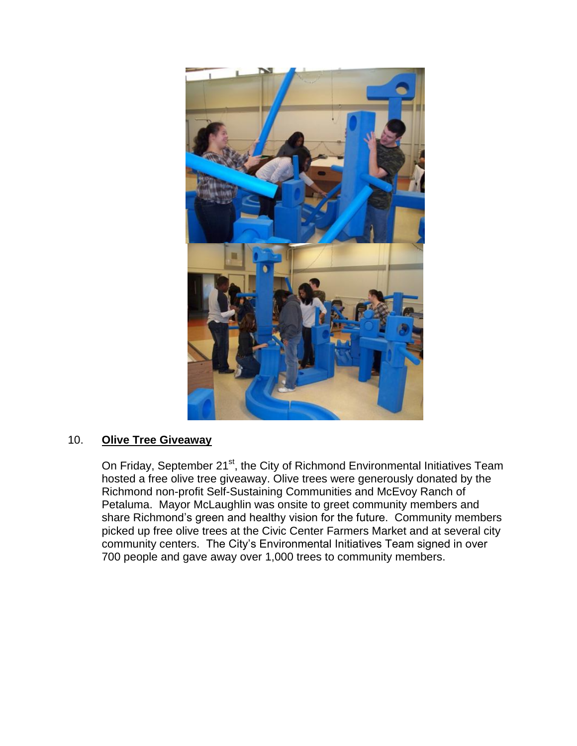

# 10. **Olive Tree Giveaway**

On Friday, September 21<sup>st</sup>, the City of Richmond Environmental Initiatives Team hosted a free olive tree giveaway. Olive trees were generously donated by the Richmond non-profit Self-Sustaining Communities and McEvoy Ranch of Petaluma. Mayor McLaughlin was onsite to greet community members and share Richmond's green and healthy vision for the future. Community members picked up free olive trees at the Civic Center Farmers Market and at several city community centers. The City's Environmental Initiatives Team signed in over 700 people and gave away over 1,000 trees to community members.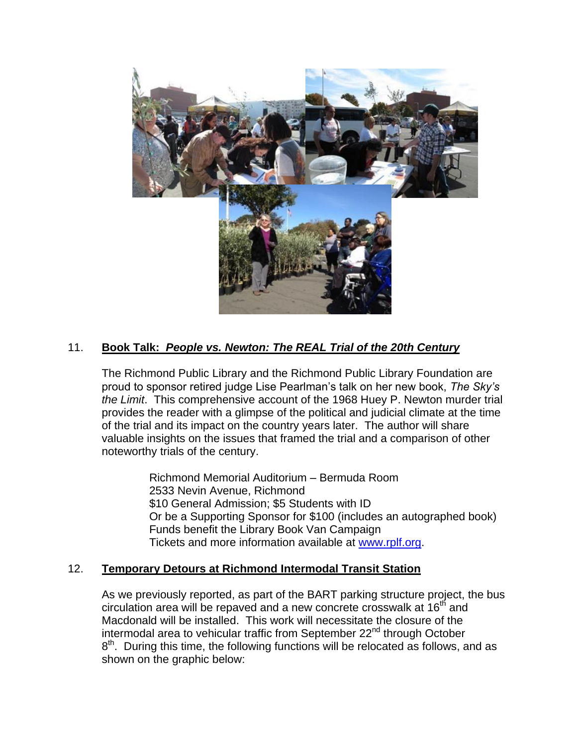

# 11. **Book Talk:** *People vs. Newton: The REAL Trial of the 20th Century*

The Richmond Public Library and the Richmond Public Library Foundation are proud to sponsor retired judge Lise Pearlman's talk on her new book, *The Sky's the Limit*. This comprehensive account of the 1968 Huey P. Newton murder trial provides the reader with a glimpse of the political and judicial climate at the time of the trial and its impact on the country years later. The author will share valuable insights on the issues that framed the trial and a comparison of other noteworthy trials of the century.

> Richmond Memorial Auditorium – Bermuda Room 2533 Nevin Avenue, Richmond \$10 General Admission; \$5 Students with ID Or be a Supporting Sponsor for \$100 (includes an autographed book) Funds benefit the Library Book Van Campaign Tickets and more information available at [www.rplf.org.](http://www.rplf.org/)

### 12. **Temporary Detours at Richmond Intermodal Transit Station**

As we previously reported, as part of the BART parking structure project, the bus circulation area will be repaved and a new concrete crosswalk at 16<sup>th</sup> and Macdonald will be installed. This work will necessitate the closure of the intermodal area to vehicular traffic from September 22<sup>nd</sup> through October  $8<sup>th</sup>$ . During this time, the following functions will be relocated as follows, and as shown on the graphic below: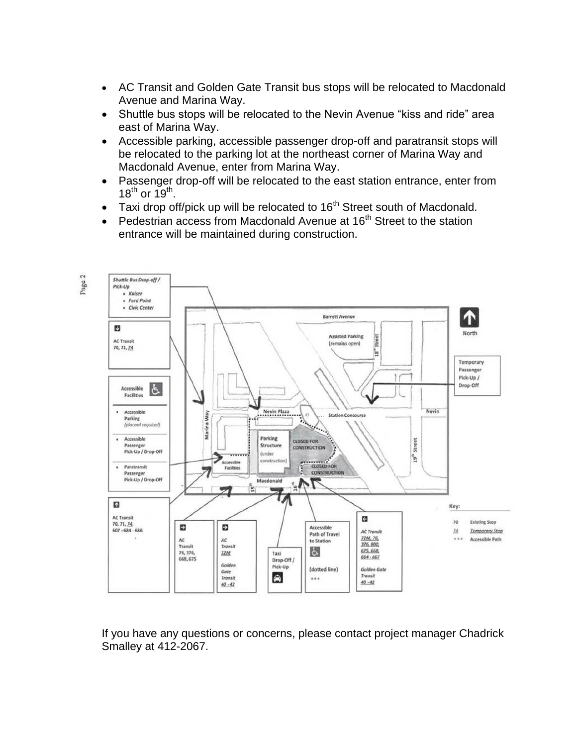- AC Transit and Golden Gate Transit bus stops will be relocated to Macdonald Avenue and Marina Way.
- Shuttle bus stops will be relocated to the Nevin Avenue "kiss and ride" area east of Marina Way.
- Accessible parking, accessible passenger drop-off and paratransit stops will be relocated to the parking lot at the northeast corner of Marina Way and Macdonald Avenue, enter from Marina Way.
- Passenger drop-off will be relocated to the east station entrance, enter from  $18^{th}$  or  $19^{th}$ .
- Taxi drop off/pick up will be relocated to  $16<sup>th</sup>$  Street south of Macdonald.
- Pedestrian access from Macdonald Avenue at  $16<sup>th</sup>$  Street to the station entrance will be maintained during construction.



If you have any questions or concerns, please contact project manager Chadrick Smalley at 412-2067.

Page 2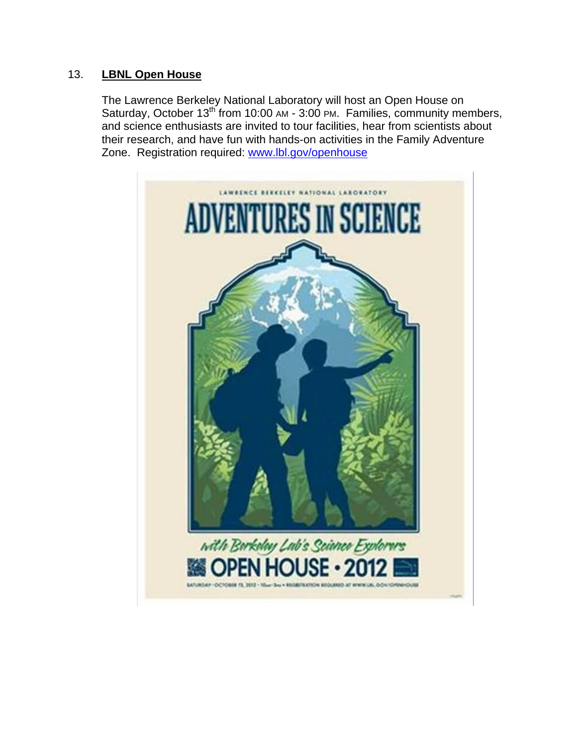## 13. **LBNL Open House**

The Lawrence Berkeley National Laboratory will host an Open House on Saturday, October  $13^{th}$  from 10:00 AM - 3:00 PM. Families, community members, and science enthusiasts are invited to tour facilities, hear from scientists about their research, and have fun with hands-on activities in the Family Adventure Zone. Registration required: [www.lbl.gov/openhouse](http://www.lbl.gov/openhouse)

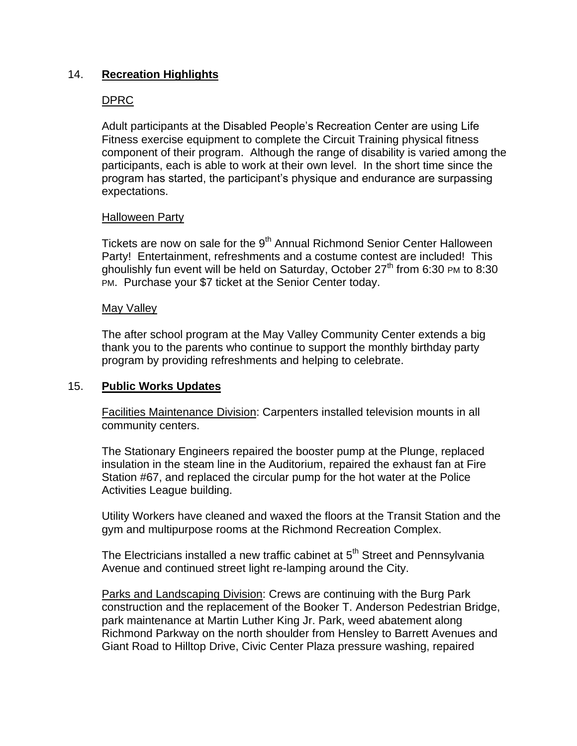## 14. **Recreation Highlights**

## DPRC

Adult participants at the Disabled People's Recreation Center are using Life Fitness exercise equipment to complete the Circuit Training physical fitness component of their program. Although the range of disability is varied among the participants, each is able to work at their own level. In the short time since the program has started, the participant's physique and endurance are surpassing expectations.

#### Halloween Party

Tickets are now on sale for the 9<sup>th</sup> Annual Richmond Senior Center Halloween Party! Entertainment, refreshments and a costume contest are included! This ghoulishly fun event will be held on Saturday, October 27<sup>th</sup> from 6:30 PM to 8:30 PM. Purchase your \$7 ticket at the Senior Center today.

#### May Valley

The after school program at the May Valley Community Center extends a big thank you to the parents who continue to support the monthly birthday party program by providing refreshments and helping to celebrate.

### 15. **Public Works Updates**

Facilities Maintenance Division: Carpenters installed television mounts in all community centers.

The Stationary Engineers repaired the booster pump at the Plunge, replaced insulation in the steam line in the Auditorium, repaired the exhaust fan at Fire Station #67, and replaced the circular pump for the hot water at the Police Activities League building.

Utility Workers have cleaned and waxed the floors at the Transit Station and the gym and multipurpose rooms at the Richmond Recreation Complex.

The Electricians installed a new traffic cabinet at 5<sup>th</sup> Street and Pennsylvania Avenue and continued street light re-lamping around the City.

Parks and Landscaping Division: Crews are continuing with the Burg Park construction and the replacement of the Booker T. Anderson Pedestrian Bridge, park maintenance at Martin Luther King Jr. Park, weed abatement along Richmond Parkway on the north shoulder from Hensley to Barrett Avenues and Giant Road to Hilltop Drive, Civic Center Plaza pressure washing, repaired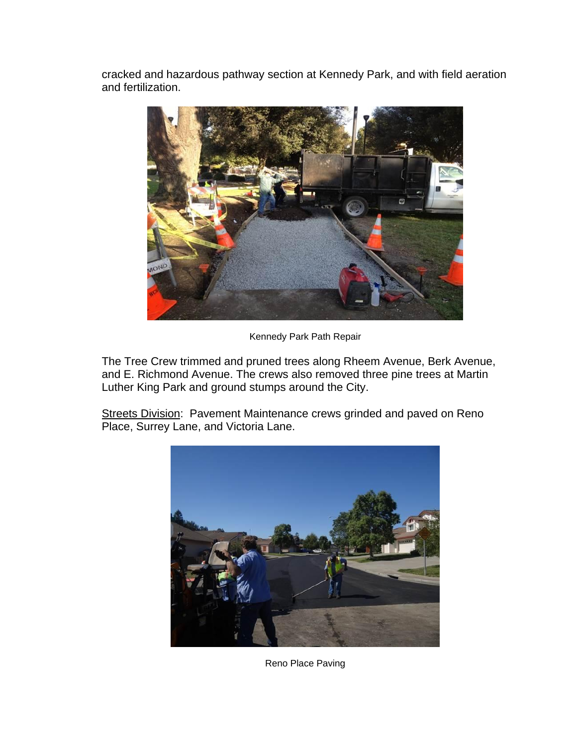cracked and hazardous pathway section at Kennedy Park, and with field aeration and fertilization.



Kennedy Park Path Repair

The Tree Crew trimmed and pruned trees along Rheem Avenue, Berk Avenue, and E. Richmond Avenue. The crews also removed three pine trees at Martin Luther King Park and ground stumps around the City.

Streets Division: Pavement Maintenance crews grinded and paved on Reno Place, Surrey Lane, and Victoria Lane.



Reno Place Paving